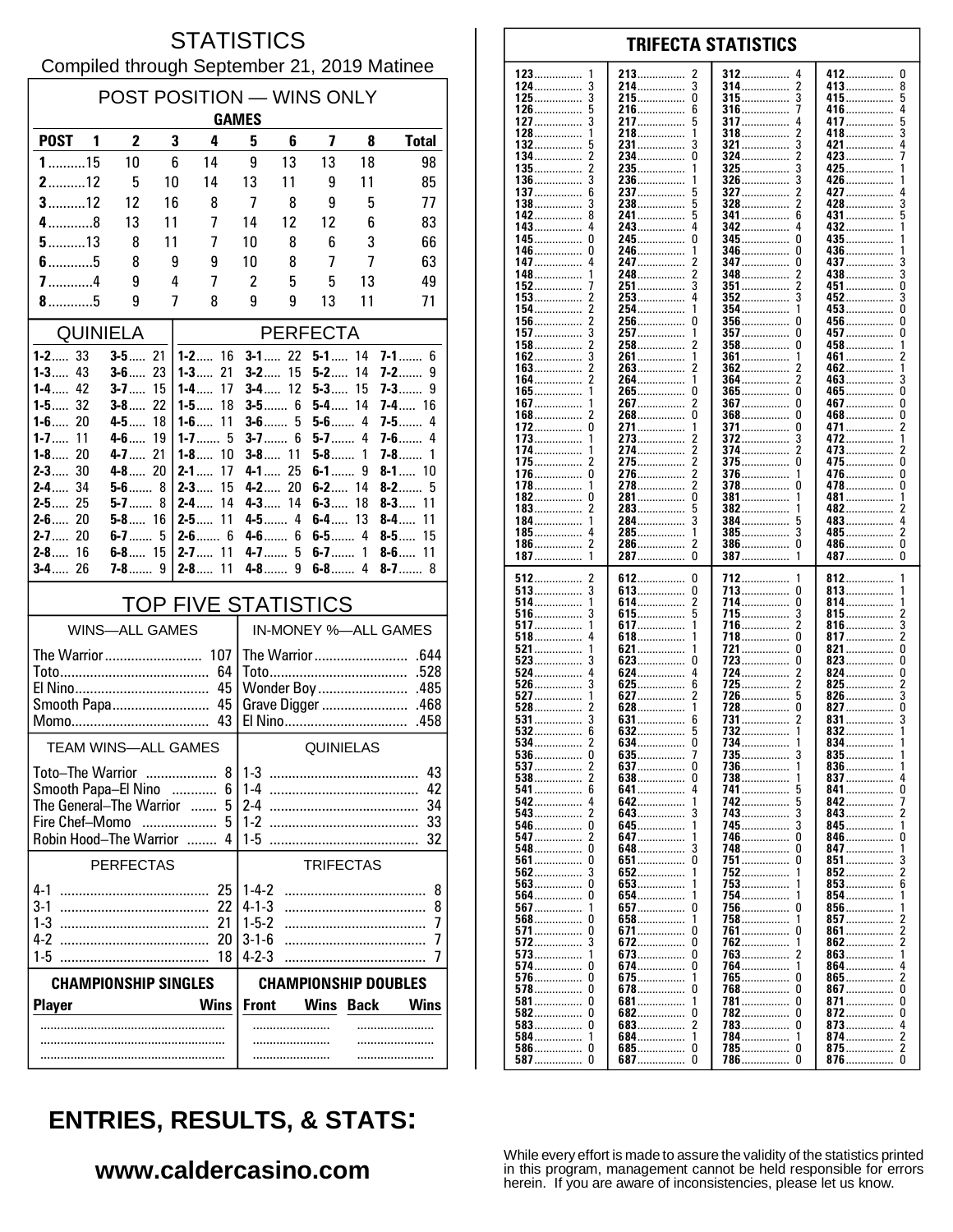#### **STATISTICS** Compiled through September 21, 2019 Matinee

| POST POSITION - WINS ONLY<br><b>GAMES</b>                       |  |                          |    |                                |                            |                         |                  |          |                           |
|-----------------------------------------------------------------|--|--------------------------|----|--------------------------------|----------------------------|-------------------------|------------------|----------|---------------------------|
| POST <sub>1</sub>                                               |  | 2                        |    | 3<br>4                         | 5                          | 6                       | 7                | 8        | <b>Total</b>              |
| $1$ 15                                                          |  | 10                       |    | 6<br>14                        | 9                          | 13                      | 13               | 18       | 98                        |
| $2$ 12                                                          |  | 5                        | 10 | 14                             | 13                         | 11                      | 9                | 11       | 85                        |
| $3$ 12                                                          |  | 12                       | 16 | 8                              | 7                          | 8                       | 9                | 5        | 77                        |
| $4$ 8                                                           |  | 13                       | 11 | 7                              | 14                         | 12                      | 12               | 6        | 83                        |
| $5$ 13                                                          |  | 8                        | 11 | 7                              | 10                         | 8                       | 6                | 3        | 66                        |
| $6$ 5                                                           |  | 8                        |    | 9<br>9                         | 10                         | 8                       | 7                | 7        | 63                        |
| $7$ 4<br>$8$ 5                                                  |  | 9<br>9                   |    | 4<br>7<br>7<br>8               | 2<br>9                     | 5<br>9                  | 5<br>13          | 13<br>11 | 49<br>71                  |
| <b>QUINIELA</b>                                                 |  |                          |    |                                | <b>PERFECTA</b>            |                         |                  |          |                           |
| $1 - 2$ 33                                                      |  | $3 - 5$ 21               |    | $1 - 2$ 16                     |                            | $3 - 1$ 22              | $5 - 1$ 14       |          | <b>7-1</b> 6              |
| $1 - 3$ 43                                                      |  | $3 - 6$ 23               |    | $1 - 3$<br>21                  | $3-2$                      | 15                      | $5-2$            | 14       | <b>7-2</b> ……<br>9        |
| $1 - 4$ 42<br>$1 - 5$ 32                                        |  | $3 - 7$ 15<br>$3 - 8$ 22 |    | 17<br>1-4……<br>18<br>$1 - 5$   |                            | $3 - 4$ 12<br>$3 - 5$ 6 | $5 - 3$<br>$5-4$ | 15<br>14 | $7-3$<br>$7 - 4$ 16       |
| $1 - 6$ 20                                                      |  | $4 - 5$                  | 18 | $1 - 6$<br>11                  |                            | $3-6$ 5                 | $5-6$ 4          |          | $7-5$<br>4                |
| $1 - 7$<br>11                                                   |  | $4 - 6$                  | 19 | $1 - 7$ 5                      | $3 - 7$                    | 6                       | 5-7              | 4        | <b>7-6</b> ……<br>4        |
| $1 - 8$ 20<br>$2 - 3$ 30                                        |  | $4 - 7$ 21<br>$4 - 8$ 20 |    | $1 - 8$<br>10<br>$2 - 1$<br>17 | $4-1$                      | $3 - 8$ 11<br>25        | $5-8$<br>$6-1$   | 1<br>9   | 7-8……<br>1<br>$8 - 1$ 10  |
| 2-4 34                                                          |  | $5-6$ 8                  |    | $2 - 3$<br>15                  |                            | 4-2 20                  | $6 - 2$ 14       |          | $8-2$<br>5                |
| $2 - 5$ 25                                                      |  | 5-7                      | 8  | $2 - 4$<br>14                  |                            | $4 - 3$ 14              | $6 - 3$          | 18       | $8 - 3$<br>11             |
| $2 - 6$ 20<br>$2 - 7$ 20                                        |  | $5 - 8$ 16<br>$6-7$      | 5  | $2 - 5$ 11<br>$2 - 6$ 6        |                            | $4 - 5$ 4<br>$4-6$ 6    | $6-4$            | 13       | 11<br>8-4…<br>$8-5$<br>15 |
| $2 - 8$ 16                                                      |  | $6 - 8$ 15               |    | $2 - 7$ 11                     |                            | $4 - 7$ 5               | $6 - 7$ 1        |          | $8-6$<br>11               |
| $3 - 4$ 26                                                      |  | 7-8…….                   | 9  | $2 - 8$<br>11                  | 4-8                        | 9                       | $6-8$ 4          |          | 8-7 $\dots$<br>8          |
|                                                                 |  |                          |    | <b>TOP FIVE STATISTICS</b>     |                            |                         |                  |          |                           |
|                                                                 |  | <b>WINS-ALL GAMES</b>    |    |                                |                            |                         |                  |          | IN-MONEY %-ALL GAMES      |
|                                                                 |  |                          |    | The Warrior 107                |                            |                         |                  |          |                           |
|                                                                 |  |                          |    | 64                             |                            |                         |                  |          |                           |
|                                                                 |  |                          |    | 45                             |                            |                         |                  |          |                           |
|                                                                 |  |                          |    |                                |                            |                         |                  |          |                           |
|                                                                 |  |                          |    | TEAM WINS-ALL GAMES            | QUINIELAS                  |                         |                  |          |                           |
| <b>Toto-The Warrior</b>                                         |  |                          |    | 8                              | $1-3$<br>43                |                         |                  |          |                           |
| Smooth Papa-El Nino<br>6<br>.                                   |  |                          |    |                                | $1 - 4$                    |                         |                  |          | 42                        |
| The General-The Warrior<br>5<br>$\ldots$<br>Fire Chef-Momo<br>5 |  |                          |    |                                | 2-4<br>$1-2$               |                         |                  |          | 34<br>-33                 |
| Robin Hood-The Warrior                                          |  |                          |    |                                | 1-5                        |                         |                  |          | 32                        |
| <b>PERFECTAS</b>                                                |  |                          |    |                                |                            |                         | <b>TRIFECTAS</b> |          |                           |
| $4 - 1$                                                         |  |                          |    | 25                             | $1-4-2$                    |                         |                  |          | 8                         |
| $3-1$                                                           |  |                          |    | 22                             | $4 - 1 - 3$                |                         |                  |          | 8                         |
| $1-3$<br>4-2                                                    |  |                          |    | 21<br>20                       | $1 - 5 - 2$<br>$3 - 1 - 6$ |                         |                  |          | 7<br>7                    |
| $1-5$                                                           |  |                          |    | 18                             | $4 - 2 - 3$                |                         |                  |          | 7                         |
| <b>CHAMPIONSHIP DOUBLES</b><br><b>CHAMPIONSHIP SINGLES</b>      |  |                          |    |                                |                            |                         |                  |          |                           |
| <b>Player</b>                                                   |  |                          |    | <b>Wins</b>                    | <b>Front</b>               |                         | <b>Wins</b>      | Back     | Wins                      |
|                                                                 |  |                          |    |                                |                            |                         |                  |          |                           |
|                                                                 |  |                          |    |                                |                            |                         |                  |          |                           |
|                                                                 |  |                          |    |                                |                            |                         |                  |          |                           |

| 123<br>1        | 213<br>2        | 312<br>4                 | 412<br>U                |
|-----------------|-----------------|--------------------------|-------------------------|
| $124$           | 214……………<br>3   | 314<br>2                 | 413……………<br>8           |
|                 |                 |                          |                         |
| 125……………        | 215<br>0        | 315<br>3                 | 415<br>5                |
| 126……………        | 216……………        | 316……………<br>7            | 416……………<br>4           |
| 127……………        | 217……………<br>5   | 317<br>4                 | 417<br>5                |
|                 |                 |                          |                         |
| 128……………<br>1   | 218……………<br>1   | 318<br>2                 | 418……………<br>3           |
| 132<br>5        | 231……………<br>3   | 321<br>3                 | 421<br>4                |
| 134<br>2        | 234……………<br>0   | 324……………<br>2            | 423……………                |
|                 |                 |                          |                         |
| 135             | 235……………<br>1   | 325<br>3                 | 425<br>1                |
| 136……………<br>3   | 236……………<br>1   | 326……………<br>3            | 426<br>1                |
| $137$<br>6      | 237             | 327<br>2                 | 427<br>4                |
| 3               |                 | 2                        |                         |
| 138             | 238             | 328……………                 | 428……………<br>3           |
| 142<br>8        | 241<br>5        | 341<br>6                 | 431<br>5                |
| 143……………<br>4   | 243             | 342<br>4                 | 432<br>1                |
|                 |                 | 345                      |                         |
| 145……………<br>U   | 245……………<br>U   | 0                        | 435                     |
| 146<br>U        | 246             | 346<br>0                 | 436<br>1                |
| 147……………<br>4   | 247<br>2        | 347<br>0                 | 437<br>3                |
|                 | 2               | 2                        |                         |
| 148……………<br>1   | 248             | 348……………                 | 438……………<br>3           |
| 152<br>7        | 251             | 351                      | 451<br>U                |
| $153$<br>2      | 253             | $352$<br>3               | 452<br>3                |
| 154……………<br>2   | 254<br>1        | 354<br>1                 | 453<br>0                |
|                 |                 |                          |                         |
| 156<br>2        | 256……………<br>0   | 356……………<br>U            | 456……………<br>U           |
| 157             | 257             | 357<br>0                 | 457<br>U                |
| 158……………<br>2   | 2<br>258……………   | 358<br>0                 | 458……………<br>1           |
|                 |                 |                          |                         |
| 162             | 261<br>1        | 361<br>1                 | 461<br>2                |
| 163<br>2        | 263……………        | 362                      | 462……………<br>1           |
| 2<br>164……………   | 264             | 2<br>364……………            | 463……………<br>3           |
| 1<br>165        |                 | 365                      |                         |
|                 | 265<br>0        | 0                        | 465<br>0                |
| 167<br>1        | 267……………<br>2   | 367<br>0                 | 467<br>0                |
| $168$<br>2      | 268<br>0        | 368<br>0                 | 468……………<br>U           |
|                 |                 |                          |                         |
| 172<br>0        | 271             | 371<br>0                 | 2<br>471                |
| $173$<br>1      | 273<br>2        | 372<br>3                 | 472<br>1                |
| 174<br>1        | 2<br>274        | 374<br>2                 | 473<br>2                |
|                 | 275             | 375                      |                         |
| 175……………<br>2   |                 | 0                        | 475<br>U                |
| 176……………<br>0   | 2<br>276        | 376<br>1                 | 476<br>U                |
| 178<br>1        | 2<br>278……………   | 378<br>0                 | 478<br>0                |
| 182             |                 |                          |                         |
| U               | 281……………<br>0   | 381<br>1                 | 481<br>1                |
| $183$<br>2      | 283             | 382<br>1                 | 482<br>2                |
| 184……………<br>1   | 284<br>3        | 384……………<br>5            | 483……………<br>4           |
| 4               | 1               | 3                        | 2                       |
| 185……………        | 285……………        | <b>385</b>               | 485                     |
| 186……………<br>2   | 2<br>286        | 386……………<br>0            | 486……………<br>0           |
| 187             | 287……………<br>0   | 387                      | 487……………<br>U           |
|                 |                 |                          |                         |
|                 |                 |                          |                         |
|                 |                 |                          |                         |
| 512<br>2        | 612<br>0        | 712<br>1                 | 812……………<br>1           |
| <b>513</b>      | 613<br>0        | 0                        | 813……………<br>1           |
|                 |                 | 713                      |                         |
| 514<br>1        | 614……………<br>2   | 714<br>0                 | 814<br>1                |
| 516……………<br>3   | 615             | 3<br>715                 | 815……………<br>2           |
| 517             | 617<br>1        | 716<br>2                 | 816……………<br>3           |
|                 |                 |                          |                         |
| 518<br>4        | 618<br>1        | 718<br>0                 | 817<br>2                |
| 521             | 621             | 721<br>0                 | 821<br>U                |
| 523<br>3        | 623<br>0        | 723<br>0                 | 823<br>U                |
| 4               | 4               | 2                        | 0                       |
| 524             | 624             | 724                      | 824                     |
| 526<br>3        | $625$<br>6      | 725<br>2                 | 825<br>2                |
| 527             | 627             | 726                      | 826<br>3                |
| 528             | 628             | 728<br>0                 | $827$<br>0              |
|                 |                 |                          |                         |
| 531             | 631<br>6        | 731<br>2                 | 831<br>3                |
| 532             | 632             | 732<br>1                 | $832$<br>1              |
| 534             | 634<br>0        | 734                      | 834                     |
| $536$<br>O      | 635             | 735<br>3                 | 835<br>1                |
|                 |                 |                          |                         |
| 537 2           | <b>637</b><br>0 | 736<br>1                 | 836<br>1                |
| 2<br>538        | 638<br>0        | 738……………<br>1            | $837$<br>4              |
| 541             | 641             | 741                      | 841                     |
| 4               | 1               | 5                        | 7                       |
| 542             | 642             | 742                      | 842                     |
| 543……………… 2     | 643<br>3        | 743<br>3                 | 843<br>2                |
| 546<br>0        | 645<br>1        | 745<br>3                 | 845<br>1                |
| <b>547</b> 2    |                 | 0                        | U                       |
|                 | 647             | 746                      | 846                     |
| <b>548</b> 0    | 3<br>648        | 748<br>0                 | 847<br>1                |
| <b>561</b> 0    | 651<br>0        | <b>751 </b><br>0         | 851<br>3                |
| <b>562</b><br>3 | 652<br>1        | 752<br>1                 | 852<br>2                |
|                 |                 | 1                        |                         |
| <b>563</b><br>0 | 653             | 753                      | $853$                   |
| 564<br>0        | 654<br>1        | 754<br>1                 | 854<br>1                |
| 567<br>1        | 657<br>0        | <b>756</b><br>U          | 856<br>1                |
|                 | 1               | 1                        |                         |
| <b>568</b> 0    | 658             | 758                      | 857<br>2                |
| 571  0          | <b>671</b><br>0 | 761<br>0                 | 861<br>2                |
| 572<br>3        | <b>672</b><br>0 | 762<br>1                 | 862                     |
|                 |                 |                          |                         |
|                 | <b>673</b><br>0 | 763<br>2                 | 863<br>1                |
| <b>574</b> 0    | 674<br>0        | 764<br>1                 | 864<br>4                |
| <b>576</b> 0    | 675<br>1        | 765<br>0                 | 865<br>2                |
| <b>578</b> 0    | 678<br>0        | 768<br>0                 | 867<br>0                |
|                 |                 |                          |                         |
| <b>581</b> 0    | 681<br>1        | 781……………  0              | 871<br>U                |
| 582 0           | 682<br>0        | 782                      | 872<br>U                |
|                 | 683<br>2        | 783                      | 873<br>4                |
| 1               | 1               | 1                        | 2                       |
| 584             | 684             | 784……………                 | 874                     |
| <b>587</b> 0    | 685<br>0        | 785<br>U<br><b>786</b> 0 | 875<br>2<br>876……………… 0 |

**TRIFECTA STATISTICS** 

# **ENTRIES, RESULTS, & STATS:**

### www.caldercasino.com